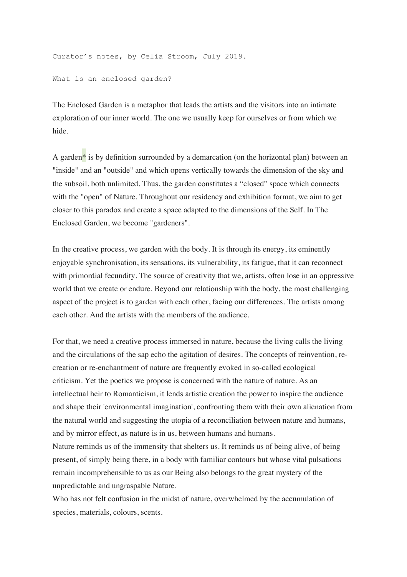Curator's notes, by Celia Stroom, July 2019.

What is an enclosed garden?

The Enclosed Garden is a metaphor that leads the artists and the visitors into an intimate exploration of our inner world. The one we usually keep for ourselves or from which we hide.

A garden<sup>\*</sup> is by definition surrounded by a demarcation (on the horizontal plan) between an "inside" and an "outside" and which opens vertically towards the dimension of the sky and the subsoil, both unlimited. Thus, the garden constitutes a "closed" space which connects with the "open" of Nature. Throughout our residency and exhibition format, we aim to get closer to this paradox and create a space adapted to the dimensions of the Self. In The Enclosed Garden, we become "gardeners".

In the creative process, we garden with the body. It is through its energy, its eminently enjoyable synchronisation, its sensations, its vulnerability, its fatigue, that it can reconnect with primordial fecundity. The source of creativity that we, artists, often lose in an oppressive world that we create or endure. Beyond our relationship with the body, the most challenging aspect of the project is to garden with each other, facing our differences. The artists among each other. And the artists with the members of the audience.

For that, we need a creative process immersed in nature, because the living calls the living and the circulations of the sap echo the agitation of desires. The concepts of reinvention, recreation or re-enchantment of nature are frequently evoked in so-called ecological criticism. Yet the poetics we propose is concerned with the nature of nature. As an intellectual heir to Romanticism, it lends artistic creation the power to inspire the audience and shape their 'environmental imagination', confronting them with their own alienation from the natural world and suggesting the utopia of a reconciliation between nature and humans, and by mirror effect, as nature is in us, between humans and humans.

Nature reminds us of the immensity that shelters us. It reminds us of being alive, of being present, of simply being there, in a body with familiar contours but whose vital pulsations remain incomprehensible to us as our Being also belongs to the great mystery of the unpredictable and ungraspable Nature.

Who has not felt confusion in the midst of nature, overwhelmed by the accumulation of species, materials, colours, scents.